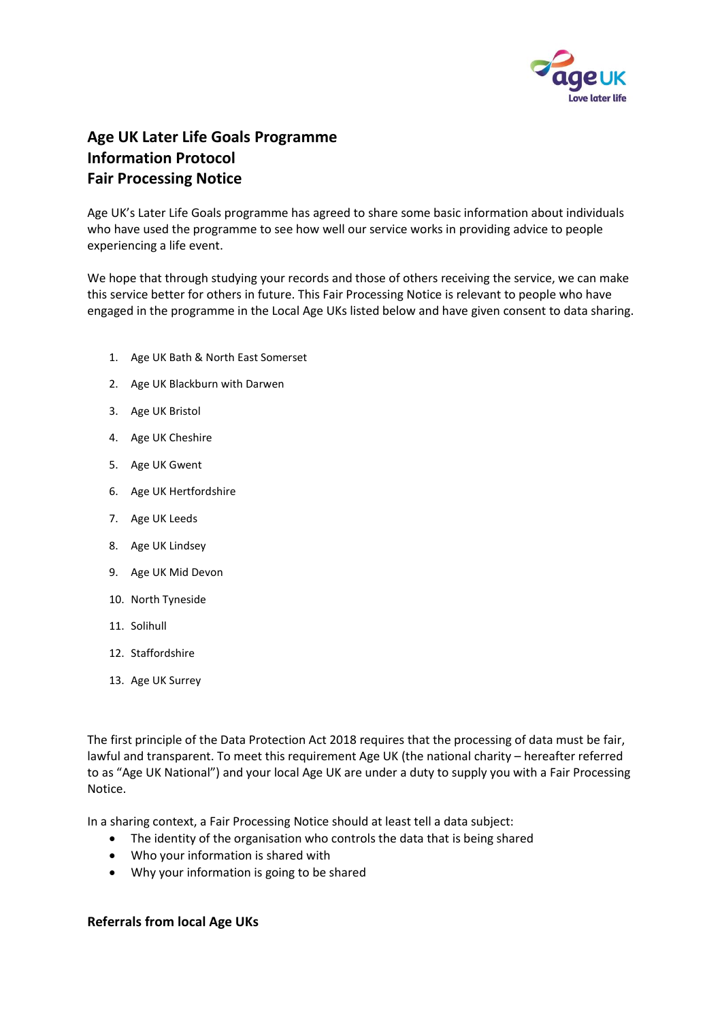

## **Age UK Later Life Goals Programme Information Protocol Fair Processing Notice**

Age UK's Later Life Goals programme has agreed to share some basic information about individuals who have used the programme to see how well our service works in providing advice to people experiencing a life event.

We hope that through studying your records and those of others receiving the service, we can make this service better for others in future. This Fair Processing Notice is relevant to people who have engaged in the programme in the Local Age UKs listed below and have given consent to data sharing.

- 1. Age UK Bath & North East Somerset
- 2. Age UK Blackburn with Darwen
- 3. Age UK Bristol
- 4. Age UK Cheshire
- 5. Age UK Gwent
- 6. Age UK Hertfordshire
- 7. Age UK Leeds
- 8. Age UK Lindsey
- 9. Age UK Mid Devon
- 10. North Tyneside
- 11. Solihull
- 12. Staffordshire
- 13. Age UK Surrey

The first principle of the Data Protection Act 2018 requires that the processing of data must be fair, lawful and transparent. To meet this requirement Age UK (the national charity – hereafter referred to as "Age UK National") and your local Age UK are under a duty to supply you with a Fair Processing Notice.

In a sharing context, a Fair Processing Notice should at least tell a data subject:

- The identity of the organisation who controls the data that is being shared
- Who your information is shared with
- Why your information is going to be shared

## **Referrals from local Age UKs**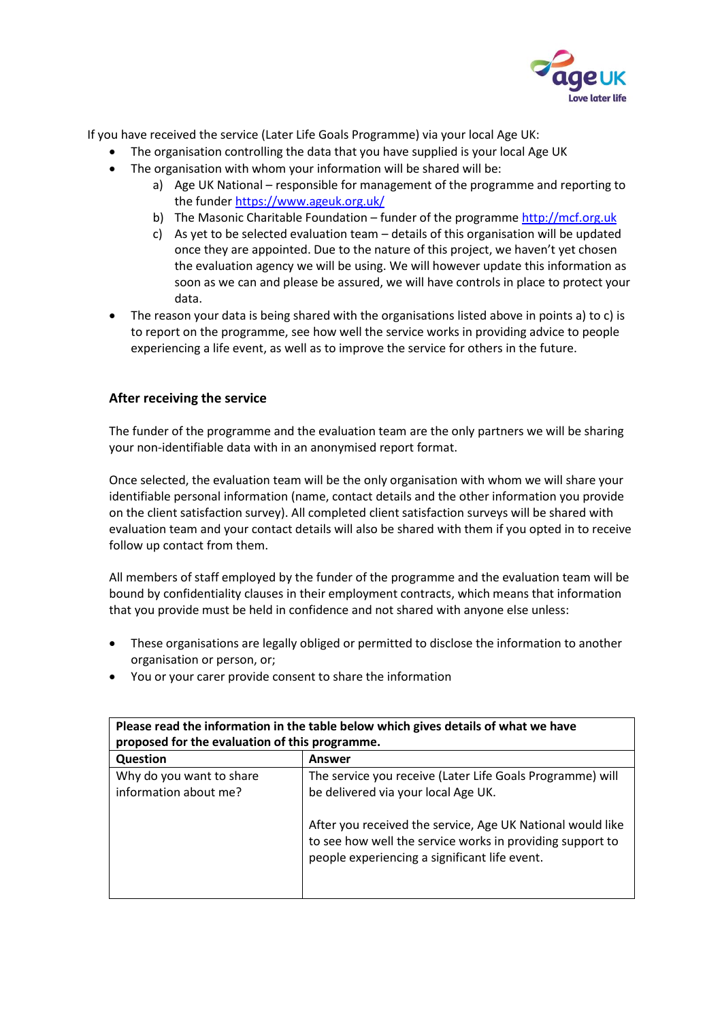

If you have received the service (Later Life Goals Programme) via your local Age UK:

- The organisation controlling the data that you have supplied is your local Age UK
- The organisation with whom your information will be shared will be:
	- a) Age UK National responsible for management of the programme and reporting to the funder<https://www.ageuk.org.uk/>
	- b) The Masonic Charitable Foundation funder of the programme [http://mcf.org.uk](http://mcf.org.uk/)
	- c) As yet to be selected evaluation team details of this organisation will be updated once they are appointed. Due to the nature of this project, we haven't yet chosen the evaluation agency we will be using. We will however update this information as soon as we can and please be assured, we will have controls in place to protect your data.
- The reason your data is being shared with the organisations listed above in points a) to c) is to report on the programme, see how well the service works in providing advice to people experiencing a life event, as well as to improve the service for others in the future.

## **After receiving the service**

The funder of the programme and the evaluation team are the only partners we will be sharing your non-identifiable data with in an anonymised report format.

Once selected, the evaluation team will be the only organisation with whom we will share your identifiable personal information (name, contact details and the other information you provide on the client satisfaction survey). All completed client satisfaction surveys will be shared with evaluation team and your contact details will also be shared with them if you opted in to receive follow up contact from them.

All members of staff employed by the funder of the programme and the evaluation team will be bound by confidentiality clauses in their employment contracts, which means that information that you provide must be held in confidence and not shared with anyone else unless:

- These organisations are legally obliged or permitted to disclose the information to another organisation or person, or;
- You or your carer provide consent to share the information

| Please read the information in the table below which gives details of what we have |                                                                                                                                                                          |
|------------------------------------------------------------------------------------|--------------------------------------------------------------------------------------------------------------------------------------------------------------------------|
| proposed for the evaluation of this programme.                                     |                                                                                                                                                                          |
| Question                                                                           | Answer                                                                                                                                                                   |
| Why do you want to share                                                           | The service you receive (Later Life Goals Programme) will                                                                                                                |
| information about me?                                                              | be delivered via your local Age UK.                                                                                                                                      |
|                                                                                    | After you received the service, Age UK National would like<br>to see how well the service works in providing support to<br>people experiencing a significant life event. |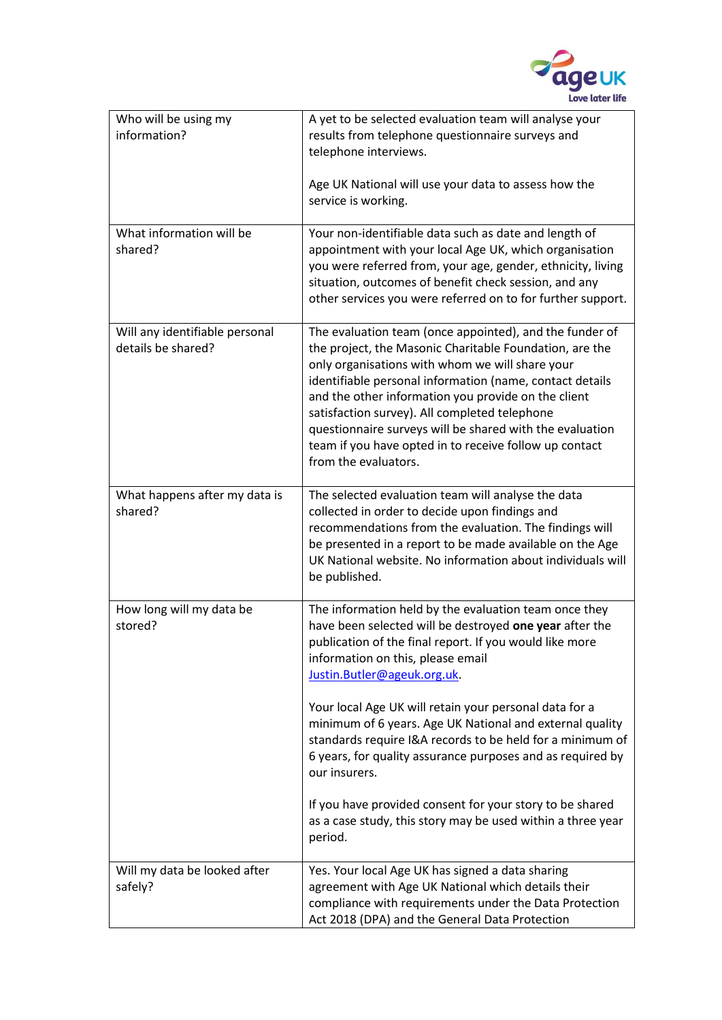

| Who will be using my<br>information?                 | A yet to be selected evaluation team will analyse your<br>results from telephone questionnaire surveys and<br>telephone interviews.<br>Age UK National will use your data to assess how the<br>service is working.                                                                                                                                                                                                                                                                      |
|------------------------------------------------------|-----------------------------------------------------------------------------------------------------------------------------------------------------------------------------------------------------------------------------------------------------------------------------------------------------------------------------------------------------------------------------------------------------------------------------------------------------------------------------------------|
| What information will be<br>shared?                  | Your non-identifiable data such as date and length of<br>appointment with your local Age UK, which organisation<br>you were referred from, your age, gender, ethnicity, living<br>situation, outcomes of benefit check session, and any<br>other services you were referred on to for further support.                                                                                                                                                                                  |
| Will any identifiable personal<br>details be shared? | The evaluation team (once appointed), and the funder of<br>the project, the Masonic Charitable Foundation, are the<br>only organisations with whom we will share your<br>identifiable personal information (name, contact details<br>and the other information you provide on the client<br>satisfaction survey). All completed telephone<br>questionnaire surveys will be shared with the evaluation<br>team if you have opted in to receive follow up contact<br>from the evaluators. |
| What happens after my data is<br>shared?             | The selected evaluation team will analyse the data<br>collected in order to decide upon findings and<br>recommendations from the evaluation. The findings will<br>be presented in a report to be made available on the Age<br>UK National website. No information about individuals will<br>be published.                                                                                                                                                                               |
| How long will my data be<br>stored?                  | The information held by the evaluation team once they<br>have been selected will be destroyed one year after the<br>publication of the final report. If you would like more<br>information on this, please email<br>Justin.Butler@ageuk.org.uk.                                                                                                                                                                                                                                         |
|                                                      | Your local Age UK will retain your personal data for a<br>minimum of 6 years. Age UK National and external quality<br>standards require I&A records to be held for a minimum of<br>6 years, for quality assurance purposes and as required by<br>our insurers.                                                                                                                                                                                                                          |
|                                                      | If you have provided consent for your story to be shared<br>as a case study, this story may be used within a three year<br>period.                                                                                                                                                                                                                                                                                                                                                      |
| Will my data be looked after<br>safely?              | Yes. Your local Age UK has signed a data sharing<br>agreement with Age UK National which details their<br>compliance with requirements under the Data Protection<br>Act 2018 (DPA) and the General Data Protection                                                                                                                                                                                                                                                                      |